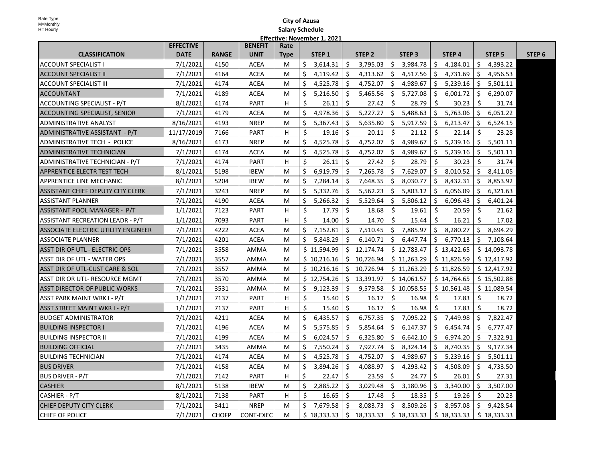| Rate Type:<br>M=Monthly                    |                  |              |                | <b>City of Azusa</b>   |     |                             |     |                                                                                                                         |    |                   |     |             |     |               |                   |
|--------------------------------------------|------------------|--------------|----------------|------------------------|-----|-----------------------------|-----|-------------------------------------------------------------------------------------------------------------------------|----|-------------------|-----|-------------|-----|---------------|-------------------|
| H= Hourly                                  |                  |              |                | <b>Salary Schedule</b> |     |                             |     |                                                                                                                         |    |                   |     |             |     |               |                   |
|                                            | <b>EFFECTIVE</b> |              | <b>BENEFIT</b> | Rate                   |     | Effective: November 1, 2021 |     |                                                                                                                         |    |                   |     |             |     |               |                   |
| <b>CLASSIFICATION</b>                      | <b>DATE</b>      | <b>RANGE</b> | <b>UNIT</b>    | <b>Type</b>            |     | STEP 1                      |     | STEP <sub>2</sub>                                                                                                       |    | STEP <sub>3</sub> |     | STEP 4      |     | <b>STEP 5</b> | STEP <sub>6</sub> |
| <b>ACCOUNT SPECIALIST I</b>                | 7/1/2021         | 4150         | <b>ACEA</b>    | M                      | Ś.  | 3,614.31                    | \$  | 3,795.03                                                                                                                | \$ | 3,984.78          | \$  | 4,184.01    | \$  | 4,393.22      |                   |
| <b>ACCOUNT SPECIALIST II</b>               | 7/1/2021         | 4164         | <b>ACEA</b>    | M                      | Ś.  | 4,119.42                    | \$  | 4,313.62                                                                                                                | \$ | 4,517.56          | \$  | 4,731.69    | Ŝ.  | 4,956.53      |                   |
| <b>ACCOUNT SPECIALIST III</b>              | 7/1/2021         | 4174         | <b>ACEA</b>    | M                      | \$  | 4,525.78                    | -\$ | 4,752.07                                                                                                                | \$ | 4,989.67          | \$  | 5,239.16    | Ŝ.  | 5,501.11      |                   |
| <b>ACCOUNTANT</b>                          | 7/1/2021         | 4189         | ACEA           | M                      | \$  | 5,216.50                    | S.  | 5,465.56                                                                                                                | \$ | 5,727.08          | \$  | 6,001.72    | \$  | 6,290.07      |                   |
| <b>ACCOUNTING SPECIALIST - P/T</b>         | 8/1/2021         | 4174         | PART           | н                      | \$  | 26.11                       | \$  | 27.42                                                                                                                   | Ŝ. | 28.79             | \$  | 30.23       | \$  | 31.74         |                   |
| <b>ACCOUNTING SPECIALIST, SENIOR</b>       | 7/1/2021         | 4179         | <b>ACEA</b>    | M                      | \$  | 4,978.36                    | Ŝ.  | 5,227.27                                                                                                                | Ś. | 5,488.63          | \$  | 5,763.06    | Ś.  | 6,051.22      |                   |
| <b>ADMINISTRATIVE ANALYST</b>              | 8/16/2021        | 4193         | <b>NREP</b>    | M                      | \$  | 5,367.43                    | \$  | 5,635.80                                                                                                                | \$ | 5,917.59          | \$  | 6,213.47    | \$  | 6,524.15      |                   |
| ADMINISTRATIVE ASSISTANT - P/T             | 11/17/2019       | 7166         | <b>PART</b>    | н                      | Ś   | 19.16                       | Ŝ.  | 20.11                                                                                                                   | \$ | 21.12             | Ŝ.  | 22.14       | Ŝ   | 23.28         |                   |
| ADMINISTRATIVE TECH - POLICE               | 8/16/2021        | 4173         | <b>NREP</b>    | M                      | Ś.  | 4,525.78                    | -\$ | 4,752.07                                                                                                                | \$ | 4,989.67          | \$  | 5,239.16    | \$  | 5,501.11      |                   |
| <b>ADMINISTRATIVE TECHNICIAN</b>           | 7/1/2021         | 4174         | <b>ACEA</b>    | M                      | \$  | 4,525.78                    | \$  | 4,752.07                                                                                                                | \$ | 4,989.67          | \$  | 5,239.16    | \$  | 5,501.11      |                   |
| ADMINISTRATIVE TECHNICIAN - P/T            | 7/1/2021         | 4174         | <b>PART</b>    | н                      | \$  | 26.11                       | -\$ | 27.42                                                                                                                   | \$ | 28.79             | \$. | 30.23       | \$  | 31.74         |                   |
| <b>APPRENTICE ELECTR TEST TECH</b>         | 8/1/2021         | 5198         | <b>IBEW</b>    | M                      | Ś.  | 6,919.79                    | \$  | 7,265.78                                                                                                                | \$ | 7,629.07          | \$  | 8,010.52    | Ŝ.  | 8,411.05      |                   |
| <b>APPRENTICE LINE MECHANIC</b>            | 8/1/2021         | 5204         | <b>IBEW</b>    | M                      | \$  | 7,284.14                    | Ŝ.  | 7,648.35                                                                                                                | Ś. | 8,030.77          | Ŝ.  | 8,432.31    | Ŝ.  | 8,853.92      |                   |
| <b>ASSISTANT CHIEF DEPUTY CITY CLERK</b>   | 7/1/2021         | 3243         | <b>NREP</b>    | M                      | \$  | 5,332.76                    | -\$ | 5,562.23                                                                                                                | \$ | 5,803.12          | \$  | 6,056.09    | \$. | 6,321.63      |                   |
| <b>ASSISTANT PLANNER</b>                   | 7/1/2021         | 4190         | <b>ACEA</b>    | M                      | \$  | 5,266.32                    | \$  | 5,529.64                                                                                                                | \$ | 5,806.12          | \$  | 6,096.43    | S.  | 6,401.24      |                   |
| ASSISTANT POOL MANAGER - P/T               | 1/1/2021         | 7123         | <b>PART</b>    | н                      | \$  | 17.79                       | \$  | 18.68                                                                                                                   | \$ | 19.61             | S.  | 20.59       | Ŝ.  | 21.62         |                   |
| ASSISTANT RECREATION LEADR - P/T           | 1/1/2021         | 7093         | <b>PART</b>    | н                      | \$  | 14.00                       | -\$ | 14.70                                                                                                                   | Ś. | 15.44             | Ŝ.  | 16.21       | Ŝ.  | 17.02         |                   |
| <b>ASSOCIATE ELECTRIC UTILITY ENGINEER</b> | 7/1/2021         | 4222         | <b>ACEA</b>    | M                      | Ś.  | 7,152.81                    | \$  | 7,510.45                                                                                                                | \$ | 7,885.97          | \$  | 8,280.27    | Ŝ.  | 8,694.29      |                   |
| <b>ASSOCIATE PLANNER</b>                   | 7/1/2021         | 4201         | <b>ACEA</b>    | M                      | Ś   | 5,848.29                    | \$. | 6,140.71                                                                                                                | \$ | 6,447.74          | S.  | 6,770.13    | \$  | 7,108.64      |                   |
| ASST DIR OF UTL - ELECTRIC OPS             | 7/1/2021         | 3558         | AMMA           | M                      |     | \$11,594.99                 | Ŝ.  | 12,174.74                                                                                                               |    | \$12,783.47       |     | \$13,422.65 |     | \$14,093.78   |                   |
| <b>ASST DIR OF UTL - WATER OPS</b>         | 7/1/2021         | 3557         | AMMA           | M                      |     | \$10,216.16                 | S.  | 10,726.94                                                                                                               |    | \$11,263.29       |     | \$11,826.59 |     | \$12,417.92   |                   |
| ASST DIR OF UTL-CUST CARE & SOL            | 7/1/2021         | 3557         | AMMA           | M                      |     | \$10,216.16                 | \$  | 10,726.94                                                                                                               |    | \$11,263.29       |     | \$11,826.59 |     | \$12,417.92   |                   |
| ASST DIR OR UTL- RESOURCE MGMT             | 7/1/2021         | 3570         | AMMA           | M                      |     | \$12,754.26                 | \$  | 13,391.97                                                                                                               |    | \$14,061.57       |     | \$14,764.65 |     | \$15,502.88   |                   |
| ASST DIRECTOR OF PUBLIC WORKS              | 7/1/2021         | 3531         | AMMA           | M                      | \$  | 9,123.39                    | \$  | 9,579.58                                                                                                                |    | \$10,058.55       |     | \$10,561.48 |     | \$11,089.54   |                   |
| <b>ASST PARK MAINT WRK I - P/T</b>         | 1/1/2021         | 7137         | <b>PART</b>    | н                      | \$  | 15.40                       | \$  | 16.17                                                                                                                   | \$ | 16.98             | \$  | 17.83       | \$  | 18.72         |                   |
| ASST STREET MAINT WKR I - P/T              | 1/1/2021         | 7137         | PART           | н                      | \$  | 15.40                       | \$  | 16.17                                                                                                                   | Ś. | 16.98             | \$  | 17.83       | Ś   | 18.72         |                   |
| <b>BUDGET ADMINISTRATOR</b>                | 7/1/2021         | 4211         | <b>ACEA</b>    | M                      | Ś.  | 6,435.57                    | \$  | 6,757.35                                                                                                                | \$ | 7,095.22          | \$  | 7,449.98    | \$. | 7,822.47      |                   |
| <b>BUILDING INSPECTOR I</b>                | 7/1/2021         | 4196         | <b>ACEA</b>    | M                      | Ś.  | 5,575.85                    | -\$ | 5,854.64                                                                                                                | \$ | 6,147.37          | Ŝ.  | 6,454.74    | \$  | 6,777.47      |                   |
| <b>BUILDING INSPECTOR II</b>               | 7/1/2021         | 4199         | <b>ACEA</b>    | M                      | Ś   | 6,024.57                    | Ŝ.  | 6,325.80                                                                                                                | \$ | 6,642.10          | Ŝ.  | 6,974.20    | Ŝ.  | 7,322.91      |                   |
| <b>BUILDING OFFICIAL</b>                   | 7/1/2021         | 3435         | AMMA           | M                      | \$  | 7,550.24                    | \$  | 7,927.74                                                                                                                |    | \$3,324.14        |     | \$3,740.35  | \$  | 9,177.34      |                   |
| <b>BUILDING TECHNICIAN</b>                 | 7/1/2021         | 4174         | ACEA           | M                      |     |                             |     | $\binom{1}{5}$ 4,525.78 $\binom{1}{5}$ 4,752.07 $\binom{2}{5}$ 4,989.67 $\binom{5}{5}$ 5,239.16 $\binom{5}{5}$ 5,501.11 |    |                   |     |             |     |               |                   |
| <b>BUS DRIVER</b>                          | 7/1/2021         | 4158         | <b>ACEA</b>    | M                      | \$. | 3,894.26                    | -\$ | 4,088.97                                                                                                                | \$ | 4,293.42          | \$  | 4,508.09    | \$  | 4,733.50      |                   |
| <b>BUS DRIVER - P/T</b>                    | 7/1/2021         | 7142         | <b>PART</b>    | н                      | \$  | 22.47                       | -\$ | 23.59                                                                                                                   | \$ | 24.77             | \$  | 26.01       | \$  | 27.31         |                   |
| <b>CASHIER</b>                             | 8/1/2021         | 5138         | <b>IBEW</b>    | М                      | \$. | 2,885.22                    | .\$ | 3,029.48                                                                                                                | \$ | 3,180.96          | \$  | 3,340.00    | \$  | 3,507.00      |                   |
| CASHIER - P/T                              | 8/1/2021         | 7138         | <b>PART</b>    | н                      | Ś.  | 16.65                       | -\$ | 17.48                                                                                                                   | Ŝ. | 18.35             | \$  | 19.26       | \$  | 20.23         |                   |
| CHIEF DEPUTY CITY CLERK                    | 7/1/2021         | 3411         | <b>NREP</b>    | Μ                      | \$. | 7,679.58                    | \$. | 8,083.73                                                                                                                | \$ | 8,509.26          | \$. | 8,957.08    | \$  | 9,428.54      |                   |
| CHIEF OF POLICE                            | 7/1/2021         | <b>CHOFP</b> | CONT-EXEC      | M                      |     | \$18,333.33                 | \$  | 18,333.33                                                                                                               |    | \$18,333.33       |     | \$18,333.33 |     | \$18,333.33   |                   |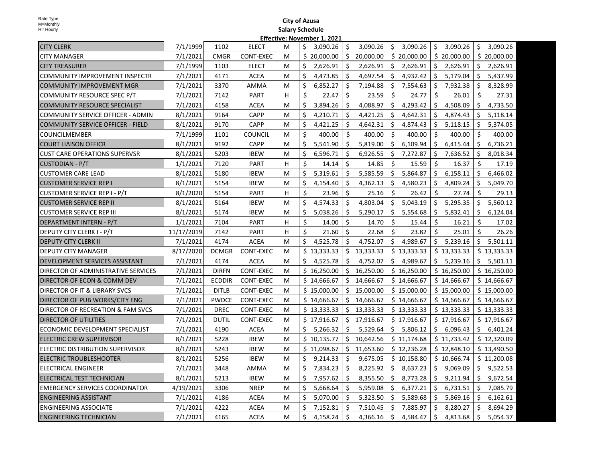|                                       |            |               |                  | UAC' IANACIIINCI' |                |               |             |     |             |         |             |     |             |
|---------------------------------------|------------|---------------|------------------|-------------------|----------------|---------------|-------------|-----|-------------|---------|-------------|-----|-------------|
| <b>CITY CLERK</b>                     | 7/1/1999   | 1102          | <b>ELECT</b>     | м                 | Ś.<br>3,090.26 | \$            | 3,090.26    | \$  | 3,090.26    | $\zeta$ | 3,090.26    | Ś.  | 3,090.26    |
| <b>CITY MANAGER</b>                   | 7/1/2021   | <b>CMGR</b>   | CONT-EXEC        | м                 | \$20,000.00    | \$            | 20,000.00   |     | \$20,000.00 |         | \$20,000.00 |     | \$20,000.00 |
| <b>CITY TREASURER</b>                 | 7/1/1999   | 1103          | <b>ELECT</b>     | М                 | \$<br>2,626.91 | Ŝ.            | 2,626.91    |     | \$2,626.91  |         | \$2,626.91  | \$  | 2,626.91    |
| COMMUNITY IMPROVEMENT INSPECTR        | 7/1/2021   | 4171          | <b>ACEA</b>      | м                 | \$<br>4,473.85 | \$            | 4,697.54    | \$  | 4,932.42    | \$      | 5,179.04    | \$  | 5,437.99    |
| <b>COMMUNITY IMPROVEMENT MGR</b>      | 7/1/2021   | 3370          | AMMA             | м                 | Ŝ.<br>6,852.27 | \$            | 7,194.88    | Ŝ.  | 7,554.63    | \$      | 7,932.38    | \$  | 8,328.99    |
| COMMUNITY RESOURCE SPEC P/T           | 7/1/2021   | 7142          | <b>PART</b>      | н                 | \$<br>22.47    | Ŝ.            | 23.59       | Ŝ.  | 24.77       | \$      | 26.01       | \$  | 27.31       |
| <b>COMMUNITY RESOURCE SPECIALIST</b>  | 7/1/2021   | 4158          | <b>ACEA</b>      | M                 | \$<br>3,894.26 | \$            | 4,088.97    | \$  | 4,293.42    | \$      | 4,508.09    | \$  | 4,733.50    |
| COMMUNITY SERVICE OFFICER - ADMIN     | 8/1/2021   | 9164          | <b>CAPP</b>      | м                 | \$<br>4,210.71 | \$            | 4,421.25    | \$  | 4,642.31    | -\$     | 4,874.43    | \$  | 5,118.14    |
| COMMUNITY SERVICE OFFICER - FIELD     | 8/1/2021   | 9170          | <b>CAPP</b>      | М                 | \$<br>4,421.25 | Ŝ.            | 4,642.31    | \$  | 4,874.43    | $\zeta$ | 5,118.15    | \$. | 5,374.05    |
| <b>COUNCILMEMBER</b>                  | 7/1/1999   | 1101          | <b>COUNCIL</b>   | M                 | \$<br>400.00   | Ŝ.            | 400.00      | Ŝ.  | 400.00      | Ŝ.      | 400.00      | Ś.  | 400.00      |
| <b>COURT LIAISON OFFICR</b>           | 8/1/2021   | 9192          | <b>CAPP</b>      | м                 | Ś.<br>5,541.90 | Ŝ.            | 5,819.00    | \$  | 6,109.94    | Ŝ.      | 6,415.44    | Ŝ.  | 6,736.21    |
| <b>CUST CARE OPERATIONS SUPERVSR</b>  | 8/1/2021   | 5203          | <b>IBEW</b>      | м                 | \$<br>6,596.71 | \$            | 6,926.55    | \$  | 7,272.87    | \$      | 7,636.52    | \$  | 8,018.34    |
| <b>CUSTODIAN - P/T</b>                | 1/1/2021   | 7120          | PART             | н                 | \$<br>14.14    | \$.           | 14.85       | -\$ | 15.59       | \$      | 16.37       | \$  | 17.19       |
| <b>CUSTOMER CARE LEAD</b>             | 8/1/2021   | 5180          | <b>IBEW</b>      | М                 | \$<br>5,319.61 | Ŝ.            | 5,585.59    | \$  | 5,864.87    | \$      | 6,158.11    | \$  | 6,466.02    |
| <b>CUSTOMER SERVICE REP I</b>         | 8/1/2021   | 5154          | <b>IBEW</b>      | м                 | \$<br>4,154.40 | Ŝ.            | 4,362.13    | \$  | 4,580.23    | -\$     | 4,809.24    | \$  | 5,049.70    |
| <b>CUSTOMER SERVICE REP I - P/T</b>   | 8/1/2020   | 5154          | <b>PART</b>      | н                 | Ŝ.<br>23.96    | Ŝ.            | 25.16       | Ŝ.  | 26.42       | Ŝ.      | 27.74       | Ŝ.  | 29.13       |
| <b>CUSTOMER SERVICE REP II</b>        | 8/1/2021   | 5164          | <b>IBEW</b>      | м                 | \$<br>4,574.33 | \$            | 4,803.04    | \$  | 5,043.19    | \$      | 5,295.35    | \$  | 5,560.12    |
| <b>CUSTOMER SERVICE REP III</b>       | 8/1/2021   | 5174          | <b>IBEW</b>      | M                 | \$<br>5,038.26 | \$            | 5,290.17    | \$  | 5,554.68    | Ŝ.      | 5,832.41    | \$  | 6,124.04    |
| DEPARTMENT INTERN - P/T               | 1/1/2021   | 7104          | PART             | H                 | \$<br>14.00    | Ŝ.            | 14.70       | Ŝ.  | 15.44       | Ŝ.      | 16.21       | \$  | 17.02       |
| DEPUTY CITY CLERK I - P/T             | 11/17/2019 | 7142          | <b>PART</b>      | H                 | \$<br>21.60    | Ŝ.            | 22.68       | \$  | 23.82       | Ŝ.      | 25.01       | Ś.  | 26.26       |
| <b>DEPUTY CITY CLERK II</b>           | 7/1/2021   | 4174          | <b>ACEA</b>      | м                 | Ś.<br>4,525.78 | Ŝ.            | 4,752.07    |     | \$4,989.67  | \$      | 5,239.16    | Ŝ.  | 5,501.11    |
| DEPUTY CITY MANAGER                   | 8/17/2020  | <b>DCMGR</b>  | CONT-EXEC        | м                 | \$13,333.33    | \$            | 13,333.33   |     | \$13,333.33 |         | \$13,333.33 |     | \$13,333.33 |
| DEVELOPMENT SERVICES ASSISTANT        | 7/1/2021   | 4174          | <b>ACEA</b>      | м                 | \$<br>4,525.78 | \$            | 4,752.07    |     | \$4,989.67  | \$      | 5,239.16    | \$  | 5,501.11    |
| DIRECTOR OF ADMINISTRATIVE SERVICES   | 7/1/2021   | <b>DIRFN</b>  | <b>CONT-EXEC</b> | м                 | \$16,250.00    | \$            | 16,250.00   |     | \$16,250.00 |         | \$16,250.00 |     | \$16,250.00 |
| DIRECTOR OF ECON & COMM DEV           | 7/1/2021   | <b>ECDDIR</b> | CONT-EXEC        | М                 | \$14,666.67    | \$            | 14,666.67   |     | \$14,666.67 |         | \$14,666.67 |     | \$14,666.67 |
| DIRECTOR OF IT & LIBRARY SVCS         | 7/1/2021   | <b>DITLB</b>  | CONT-EXEC        | M                 | \$15,000.00    | S.            | 15,000.00   |     | \$15,000.00 |         | \$15,000.00 |     | \$15,000.00 |
| DIRECTOR OF PUB WORKS/CITY ENG        | 7/1/2021   | <b>PWDCE</b>  | CONT-EXEC        | M                 | \$14,666.67    |               | \$14,666.67 |     | \$14,666.67 |         | \$14,666.67 |     | \$14,666.67 |
| DIRECTOR OF RECREATION & FAM SVCS     | 7/1/2021   | <b>DREC</b>   | CONT-EXEC        | М                 | \$13,333.33    | $\frac{1}{2}$ | 13,333.33   |     | \$13,333.33 |         | \$13,333.33 |     | \$13,333.33 |
| <b>DIRECTOR OF UTILITIES</b>          | 7/1/2021   | DUTIL         | CONT-EXEC        | М                 | \$17,916.67    | S.            | 17,916.67   |     | \$17,916.67 |         | \$17,916.67 |     | \$17,916.67 |
| ECONOMIC DEVELOPMENT SPECIALIST       | 7/1/2021   | 4190          | <b>ACEA</b>      | M                 | Ś.<br>5,266.32 | Ŝ.            | 5,529.64    |     | \$5,806.12  |         | \$6,096.43  |     | \$6,401.24  |
| <b>ELECTRIC CREW SUPERVISOR</b>       | 8/1/2021   | 5228          | <b>IBEW</b>      | M                 | \$10,135.77    | Ŝ.            | 10,642.56   |     | \$11,174.68 |         | \$11,733.42 |     | \$12,320.09 |
| ELECTRIC DISTRIBUTION SUPERVISOR      | 8/1/2021   | 5243          | <b>IBEW</b>      | м                 | \$11,098.67    | Ŝ.            | 11,653.60   |     | \$12,236.28 |         | \$12,848.10 |     | \$13,490.50 |
| ELECTRIC TROUBLESHOOTER               | 8/1/2021   | 5256          | <b>IBEW</b>      | м                 | \$<br>9,214.33 | -\$           | 9,675.05    |     | \$10,158.80 |         | \$10,666.74 |     | \$11,200.08 |
| ELECTRICAL ENGINEER                   | 7/1/2021   | 3448          | AMMA             | М                 | \$<br>7,834.23 | -S            | 8,225.92    | \$. | 8,637.23    | \$.     | 9,069.09    | \$  | 9,522.53    |
| ELECTRICAL TEST TECHNICIAN            | 8/1/2021   | 5213          | <b>IBEW</b>      | м                 | \$<br>7,957.62 | Ŝ.            | 8,355.50    | S.  | 8,773.28    | -\$     | 9,211.94    | \$  | 9,672.54    |
| <b>EMERGENCY SERVICES COORDINATOR</b> | 4/19/2021  | 3306          | <b>NREP</b>      | м                 | \$<br>5,668.64 | Ŝ.            | 5,959.08    | \$  | 6,377.21    | S.      | 6,731.51    | \$  | 7,085.79    |
| <b>ENGINEERING ASSISTANT</b>          | 7/1/2021   | 4186          | <b>ACEA</b>      | М                 | \$<br>5,070.00 | -\$           | 5,323.50    | \$  | 5,589.68    | S.      | 5,869.16    | \$  | 6,162.61    |
| <b>ENGINEERING ASSOCIATE</b>          | 7/1/2021   | 4222          | <b>ACEA</b>      | м                 | \$<br>7,152.81 | \$.           | 7,510.45    | \$  | 7,885.97    | -\$     | 8,280.27    | \$  | 8,694.29    |
| IENGINEERING TECHNICIAN               | 7/1/2021   | 4165          | <b>ACEA</b>      | M                 | \$<br>4,158.24 | \$            | 4,366.16    | \$  | 4,584.47    | \$      | 4,813.68    | \$  | 5,054.37    |
|                                       |            |               |                  |                   |                |               |             |     |             |         |             |     |             |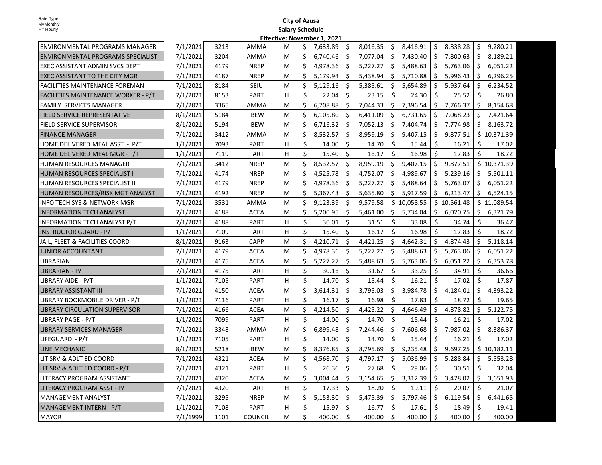| Rate Type: |
|------------|
| M=Monthly  |
| H= Hourly  |

| <b>ENVIRONMENTAL PROGRAMS MANAGER</b> | 7/1/2021 | 3213 | AMMA           | м |    | \$7,633.89 | Ŝ.                  | 8,016.35 |     | \$3,416.91  |                     | \$8,838.28  | Ŝ.      | 9,280.21    |
|---------------------------------------|----------|------|----------------|---|----|------------|---------------------|----------|-----|-------------|---------------------|-------------|---------|-------------|
| ENVIRONMENTAL PROGRAMS SPECIALIST     | 7/1/2021 | 3204 | AMMA           | м | Ś. | 6,740.46   | Ŝ.                  | 7,077.04 | \$  | 7,430.40    | $\ddot{\mathsf{S}}$ | 7,800.63    | Ŝ.      | 8,189.21    |
| <b>EXEC ASSISTANT ADMIN SVCS DEPT</b> | 7/1/2021 | 4179 | <b>NREP</b>    | М | \$ | 4,978.36   | Ŝ.                  | 5,227.27 | \$  | 5,488.63    | \$                  | 5,763.06    | \$      | 6,051.22    |
| EXEC ASSISTANT TO THE CITY MGR        | 7/1/2021 | 4187 | <b>NREP</b>    | м | Ś. | 5,179.94   | Ś                   | 5,438.94 | \$  | 5,710.88    | \$                  | 5,996.43    | Ŝ.      | 6,296.25    |
| FACILITIES MAINTENANCE FOREMAN        | 7/1/2021 | 8184 | SEIU           | м | \$ | 5,129.16   | \$                  | 5,385.61 | \$  | 5,654.89    | \$                  | 5,937.64    | Ŝ.      | 6,234.52    |
| FACILITIES MAINTENANCE WORKER - P/T   | 7/1/2021 | 8153 | PART           | н | \$ | 22.04      | Ŝ.                  | 23.15    | Ŝ.  | 24.30       | Ŝ.                  | 25.52       | \$      | 26.80       |
| <b>FAMILY SERVICES MANAGER</b>        | 7/1/2021 | 3365 | AMMA           | М | \$ | 6,708.88   | Ŝ.                  | 7,044.33 | \$  | 7,396.54    | \$                  | 7,766.37    | Ŝ.      | 8,154.68    |
| <b>FIELD SERVICE REPRESENTATIVE</b>   | 8/1/2021 | 5184 | <b>IBEW</b>    | м | Ś. | 6,105.80   | Ŝ.                  | 6,411.09 | Ŝ.  | 6,731.65    | Ŝ.                  | 7,068.23    | Ś.      | 7,421.64    |
| <b>FIELD SERVICE SUPERVISOR</b>       | 8/1/2021 | 5194 | <b>IBEW</b>    | м | Ś. | 6,716.32   | Ŝ.                  | 7,052.13 | \$  | 7,404.74    | Ŝ.                  | 7,774.98    |         | \$8,163.72  |
| <b>FINANCE MANAGER</b>                | 7/1/2021 | 3412 | AMMA           | М | \$ | 8,532.57   | \$                  | 8,959.19 |     | \$9,407.15  | S.                  | 9,877.51    |         | \$10,371.39 |
| HOME DELIVERED MEAL ASST - P/T        | 1/1/2021 | 7093 | <b>PART</b>    | H | \$ | 14.00      | \$                  | 14.70    | \$  | 15.44       | \$                  | 16.21       | \$      | 17.02       |
| HOME DELIVERED MEAL MGR - P/T         | 1/1/2021 | 7119 | <b>PART</b>    | H | Ŝ. | 15.40      | Ŝ.                  | 16.17    | Ŝ.  | 16.98       | -Ś                  | 17.83       | Ŝ.      | 18.72       |
| HUMAN RESOURCES MANAGER               | 7/1/2021 | 3412 | <b>NREP</b>    | м | Ś. | 8,532.57   | Ŝ.                  | 8,959.19 |     | \$9,407.15  | \$                  | 9,877.51    |         | \$10,371.39 |
| HUMAN RESOURCES SPECIALIST I          | 7/1/2021 | 4174 | <b>NREP</b>    | М | \$ | 4,525.78   | \$                  | 4,752.07 | \$  | 4,989.67    | \$                  | 5,239.16    | \$      | 5,501.11    |
| HUMAN RESOURCES SPECIALIST II         | 7/1/2021 | 4179 | <b>NREP</b>    | м | Ŝ  | 4,978.36   | Ŝ.                  | 5,227.27 | \$  | 5,488.64    | \$                  | 5,763.07    | Ŝ.      | 6,051.22    |
| HUMAN RESOURCES/RISK MGT ANALYST      | 7/1/2021 | 4192 | <b>NREP</b>    | м | \$ | 5,367.43   | \$                  | 5,635.80 |     | \$5,917.59  | \$                  | 6,213.47    | Ŝ.      | 6,524.15    |
| INFO TECH SYS & NETWORK MGR           | 7/1/2021 | 3531 | AMMA           | м | Ś. | 9,123.39   | Ŝ.                  | 9,579.58 |     | \$10,058.55 |                     | \$10,561.48 |         | \$11,089.54 |
| INFORMATION TECH ANALYST              | 7/1/2021 | 4188 | <b>ACEA</b>    | М | Ś. | 5,200.95   | Ŝ.                  | 5,461.00 |     | \$5,734.04  | \$                  | 6,020.75    | Ś.      | 6,321.79    |
| <b>INFORMATION TECH ANALYST P/T</b>   | 7/1/2021 | 4188 | <b>PART</b>    | н | \$ | 30.01      | Ŝ.                  | 31.51    | Ŝ.  | 33.08       | Ŝ.                  | 34.74       | Ś.      | 36.47       |
| <b>INSTRUCTOR GUARD - P/T</b>         | 1/1/2021 | 7109 | PART           | н | \$ | 15.40      | Ś.                  | 16.17    | Ŝ.  | 16.98       | Ŝ.                  | 17.83       | Ś.      | 18.72       |
| JAIL, FLEET & FACILITIES COORD        | 8/1/2021 | 9163 | <b>CAPP</b>    | м | \$ | 4,210.71   | Ŝ.                  | 4,421.25 |     | \$4,642.31  | \$                  | 4,874.43    | Ś.      | 5,118.14    |
| <b>JUNIOR ACCOUNTANT</b>              | 7/1/2021 | 4179 | ACEA           | м | \$ | 4,978.36   | \$                  | 5,227.27 | \$  | 5,488.63    | \$                  | 5,763.06    | \$      | 6,051.22    |
| LIBRARIAN                             | 7/1/2021 | 4175 | <b>ACEA</b>    | м | \$ | 5,227.27   | Ŝ.                  | 5,488.63 | Ş.  | 5,763.06    | Ŝ.                  | 6,051.22    | \$      | 6,353.78    |
| LIBRARIAN - P/T                       | 7/1/2021 | 4175 | <b>PART</b>    | н | \$ | 30.16      | \$                  | 31.67    | \$  | 33.25       | S.                  | 34.91       | \$      | 36.66       |
| LIBRARY AIDE - P/T                    | 1/1/2021 | 7105 | <b>PART</b>    | н | \$ | 14.70      | Ŝ.                  | 15.44    | Ŝ.  | 16.21       | Ŝ.                  | 17.02       | Ś.      | 17.87       |
| LIBRARY ASSISTANT III                 | 7/1/2021 | 4150 | <b>ACEA</b>    | М | \$ | 3,614.31   | \$                  | 3,795.03 | \$. | 3,984.78    | \$                  | 4,184.01    | \$      | 4,393.22    |
| LIBRARY BOOKMOBILE DRIVER - P/T       | 1/1/2021 | 7116 | <b>PART</b>    | H | \$ | 16.17      | Ŝ.                  | 16.98    | \$  | 17.83       | Ŝ.                  | 18.72       | Ŝ.      | 19.65       |
| <b>LIBRARY CIRCULATION SUPERVISOR</b> | 7/1/2021 | 4166 | <b>ACEA</b>    | М | \$ | 4,214.50   | Ŝ.                  | 4,425.22 |     | \$4,646.49  | \$                  | 4,878.82    | Ŝ.      | 5,122.75    |
| LIBRARY PAGE - P/T                    | 1/1/2021 | 7099 | <b>PART</b>    | н | \$ | 14.00      | Ŝ.                  | 14.70    | Ś.  | 15.44       | Ŝ.                  | 16.21       | Ŝ.      | 17.02       |
| LIBRARY SERVICES MANAGER              | 7/1/2021 | 3348 | AMMA           | м | Ś. | 6,899.48   | Ŝ.                  | 7,244.46 |     | \$7,606.68  | Ŝ.                  | 7,987.02    | S.      | 8,386.37    |
| LIFEGUARD - P/T                       | 1/1/2021 | 7105 | <b>PART</b>    | H | \$ | 14.00      | Ŝ.                  | 14.70    | Ŝ.  | 15.44       | Ŝ.                  | 16.21       | Ś.      | 17.02       |
| LINE MECHANIC                         | 8/1/2021 | 5218 | <b>IBEW</b>    | м | \$ | 8,376.85   | \$                  | 8,795.69 | \$  | 9,235.48    | \$                  | 9,697.25    |         | \$10,182.11 |
| LIT SRV & ADLT ED COORD               | 7/1/2021 | 4321 | ACEA           | м | \$ | 4,568.70   | \$                  | 4,797.17 | \$  | 5,036.99    | \$                  | 5,288.84    | \$.     | 5,553.28    |
| LIT SRV & ADLT ED COORD - P/T         | 7/1/2021 | 4321 | PART           | H | Ś. | 26.36      | Ŝ.                  | 27.68    | Ŝ.  | 29.06       | -Ś                  | 30.51       | Ŝ.      | 32.04       |
| LITERACY PROGRAM ASSISTANT            | 7/1/2021 | 4320 | <b>ACEA</b>    | м | Ś. | 3,004.44   | Ŝ.                  | 3,154.65 | \$  | 3,312.39    | \$                  | 3,478.02    | Ŝ.      | 3,651.93    |
| LITERACY PROGRAM ASST - P/T           | 7/1/2021 | 4320 | PART           | н | \$ | 17.33      | Ŝ.                  | 18.20    | Ŝ.  | 19.11       | Ŝ.                  | 20.07       | Ś.      | 21.07       |
| <b>MANAGEMENT ANALYST</b>             | 7/1/2021 | 3295 | <b>NREP</b>    | М | \$ | 5,153.30   | \$                  | 5,475.39 | \$  | 5,797.46    | \$                  | 6,119.54    | Ŝ.      | 6,441.65    |
| MANAGEMENT INTERN - P/T               | 1/1/2021 | 7108 | <b>PART</b>    | H | Ś. | 15.97      | Ŝ.                  | 16.77    | Ś.  | 17.61       | -Ś                  | 18.49       | Ŝ.      | 19.41       |
| <b>MAYOR</b>                          | 7/1/1999 | 1101 | <b>COUNCIL</b> | м | \$ | 400.00     | $\ddot{\mathsf{s}}$ | 400.00   | \$  | 400.00      | \$                  | 400.00      | $\zeta$ | 400.00      |
|                                       |          |      |                |   |    |            |                     |          |     |             |                     |             |         |             |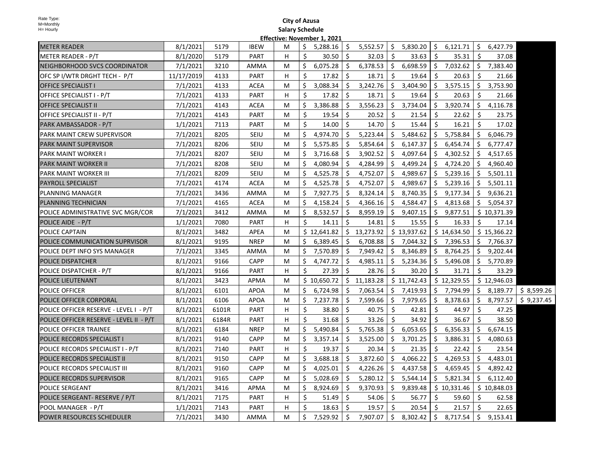| <b>METER READER</b>                     | 8/1/2021   | 5179  | <b>IBEW</b> | м |    | 5,288.16    | \$   |             |                    | $5,552.57$   \$ $5,830.20$ |     | $\frac{1}{2}$ 6,121.71 $\frac{1}{2}$          |     | 6,427.79    |            |
|-----------------------------------------|------------|-------|-------------|---|----|-------------|------|-------------|--------------------|----------------------------|-----|-----------------------------------------------|-----|-------------|------------|
| METER READER - P/T                      | 8/1/2020   | 5179  | PART        | H | \$ | 30.50       | \$   | 32.03       | Ŝ.                 | 33.63                      | \$  | 35.31                                         | -\$ | 37.08       |            |
| NEIGHBORHOOD SVCS COORDINATOR           | 7/1/2021   | 3210  | AMMA        | М | \$ | 6,075.28    | \$   | 6,378.53    | $\ddot{\varsigma}$ | 6,698.59                   |     | $\frac{1}{2}$ 7,032.62 $\frac{1}{2}$ 7,383.40 |     |             |            |
| OFC SP I/WTR DRGHT TECH - P/T           | 11/17/2019 | 4133  | PART        | H | Ŝ. | 17.82       | Ŝ.   | 18.71       | Ŝ.                 | 19.64                      | Ŝ.  | 20.63                                         | Ŝ.  | 21.66       |            |
| <b>OFFICE SPECIALIST I</b>              | 7/1/2021   | 4133  | <b>ACEA</b> | м | S  | 3,088.34    | \$   | 3,242.76    | \$                 | 3,404.90                   | \$  | 3,575.15                                      | \$  | 3,753.90    |            |
| OFFICE SPECIALIST I - P/T               | 7/1/2021   | 4133  | <b>PART</b> | H | Ś. | 17.82       | \$   | 18.71       | Ŝ.                 | 19.64                      | Ŝ.  | 20.63                                         | Ŝ.  | 21.66       |            |
| <b>OFFICE SPECIALIST II</b>             | 7/1/2021   | 4143  | <b>ACEA</b> | М | \$ | 3,386.88    | \$   | 3,556.23    | \$                 | 3,734.04                   | \$  | 3,920.74                                      | \$  | 4,116.78    |            |
| OFFICE SPECIALIST II - P/T              | 7/1/2021   | 4143  | PART        | М | Ŝ. | 19.54       | Ŝ.   | 20.52       | Ŝ.                 | 21.54                      | Ŝ.  | 22.62                                         | Ŝ.  | 23.75       |            |
| PARK AMBASSADOR - P/T                   | 1/1/2021   | 7113  | <b>PART</b> | М | Ś. | 14.00       | Ś.   | 14.70       | Ŝ.                 | 15.44                      | Ŝ.  | 16.21                                         | Ŝ.  | 17.02       |            |
| PARK MAINT CREW SUPERVISOR              | 7/1/2021   | 8205  | <b>SEIU</b> | м | Ś. | 4,974.70    | \$   | 5,223.44    | \$                 | 5,484.62                   |     | \$5,758.84                                    | \$  | 6,046.79    |            |
| <b>PARK MAINT SUPERVISOR</b>            | 7/1/2021   | 8206  | <b>SEIU</b> | М | \$ | 5,575.85    | \$   | 5,854.64    | \$                 | 6,147.37                   | \$  | 6,454.74                                      | \$  | 6,777.47    |            |
| PARK MAINT WORKER I                     | 7/1/2021   | 8207  | <b>SEIU</b> | М | S  | 3,716.68    | \$.  | 3,902.52    | \$                 | 4,097.64                   | \$  | 4,302.52                                      | \$  | 4,517.65    |            |
| PARK MAINT WORKER II                    | 7/1/2021   | 8208  | <b>SEIU</b> | М | S  | 4,080.94    | \$   | 4,284.99    | \$                 | 4,499.24                   | \$  | 4,724.20                                      | S.  | 4,960.40    |            |
| <b>PARK MAINT WORKER III</b>            | 7/1/2021   | 8209  | SEIU        | M | S  | 4,525.78    | - \$ | 4,752.07    | \$                 | 4,989.67                   | S.  | 5,239.16                                      | S.  | 5,501.11    |            |
| <b>PAYROLL SPECIALIST</b>               | 7/1/2021   | 4174  | <b>ACEA</b> | М | S  | 4,525.78    | \$.  | 4,752.07    | \$                 | 4,989.67                   | \$  | 5,239.16                                      | \$. | 5,501.11    |            |
| PLANNING MANAGER                        | 7/1/2021   | 3436  | AMMA        | М |    | 7,927.75    | \$   | 8,324.14    | \$                 | 8,740.35                   | \$  | 9,177.34                                      | \$  | 9,636.21    |            |
| <b>PLANNING TECHNICIAN</b>              | 7/1/2021   | 4165  | <b>ACEA</b> | М |    | 4,158.24    | Ŝ.   | 4,366.16    | Ŝ.                 | 4,584.47                   | Ŝ.  | 4,813.68                                      | S.  | 5,054.37    |            |
| POLICE ADMINISTRATIVE SVC MGR/COR       | 7/1/2021   | 3412  | AMMA        | М | \$ | 8,532.57    | \$.  | 8,959.19    | \$                 | 9,407.15                   | S.  | 9,877.51                                      |     | \$10,371.39 |            |
| POLICE AIDE - P/T                       | 1/1/2021   | 7080  | PART        | H | Ś. | 14.11       | Ŝ.   | 14.81       | Ŝ.                 | 15.55                      | Ŝ.  | 16.33                                         | Ŝ.  | 17.14       |            |
| POLICE CAPTAIN                          | 8/1/2021   | 3482  | APEA        | M |    | \$12,641.82 |      | \$13,273.92 |                    | \$13,937.62                |     | \$14,634.50                                   |     | \$15,366.22 |            |
| POLICE COMMUNICATION SUPRVISOR          | 8/1/2021   | 9195  | <b>NREP</b> | М | S  | 6,389.45    | Ŝ.   | 6,708.88    | \$                 | 7,044.32                   |     | \$7,396.53                                    |     | \$7,766.37  |            |
| POLICE DEPT INFO SYS MANAGER            | 7/1/2021   | 3345  | AMMA        | м | Ŝ  | 7,570.89    | Ŝ.   | 7,949.42    | \$                 | 8,346.89                   | \$  | 8,764.25                                      | \$  | 9,202.44    |            |
| <b>POLICE DISPATCHER</b>                | 8/1/2021   | 9166  | CAPP        | М | \$ | 4,747.72    | \$.  | 4,985.11    | \$                 | 5,234.36                   | \$  | 5,496.08                                      |     | \$5,770.89  |            |
| POLICE DISPATCHER - P/T                 | 8/1/2021   | 9166  | PART        | н | \$ | 27.39       | \$   | 28.76       | Ŝ.                 | 30.20                      | \$  | 31.71                                         | Ŝ.  | 33.29       |            |
| POLICE LIEUTENANT                       | 8/1/2021   | 3423  | APMA        | M |    | \$10,650.72 |      | \$11,183.28 |                    | \$11,742.43                |     | \$12,329.55                                   |     | \$12,946.03 |            |
| POLICE OFFICER                          | 8/1/2021   | 6101  | <b>APOA</b> | M | Ś  | 6,724.98    | \$   | 7,063.54    |                    | \$7,419.93                 |     | \$7,794.99                                    |     | \$8,189.77  | \$8,599.26 |
| POLICE OFFICER CORPORAL                 | 8/1/2021   | 6106  | <b>APOA</b> | M | Ś  | 7,237.78    | \$   | 7,599.66    | \$                 | 7,979.65                   | \$  | 8,378.63                                      | \$  | 8,797.57    | \$9,237.45 |
| POLICE OFFICER RESERVE - LEVEL I - P/T  | 8/1/2021   | 6101R | PART        | н | \$ | 38.80       | Ŝ.   | 40.75       | Ŝ.                 | 42.81                      | Ŝ.  | 44.97                                         | -\$ | 47.25       |            |
| POLICE OFFICER RESERVE - LEVEL II - P/T | 8/1/2021   | 6184R | PART        | H | Ś. | 31.68       | Ŝ.   | 33.26       | Ŝ.                 | 34.92                      | Ŝ.  | 36.67                                         | Ŝ.  | 38.50       |            |
| POLICE OFFICER TRAINEE                  | 8/1/2021   | 6184  | <b>NREP</b> | М | Ś. | 5,490.84    | Ŝ.   | 5,765.38    | Ŝ.                 | 6,053.65                   | Ŝ.  | 6,356.33                                      | Ŝ.  | 6,674.15    |            |
| POLICE RECORDS SPECIALIST I             | 8/1/2021   | 9140  | <b>CAPP</b> | М | \$ | 3,357.14    | \$   | 3,525.00    | \$                 | 3,701.25                   | \$. | 3,886.31                                      | \$. | 4,080.63    |            |
| POLICE RECORDS SPECIALIST I - P/T       | 8/1/2021   | 7140  | PART        | н | \$ | 19.37       | \$   | 20.34       | Ŝ.                 | 21.35                      | Ŝ.  | 22.42                                         | -\$ | 23.54       |            |
| POLICE RECORDS SPECIALIST II            | 8/1/2021   | 9150  | CAPP        | М | Ś. | 3,688.18    | \$   | 3,872.60    | \$                 | 4,066.22                   | \$  | 4,269.53                                      | \$  | 4,483.01    |            |
| POLICE RECORDS SPECIALIST III           | 8/1/2021   | 9160  | CAPP        | M | S  | 4,025.01    | \$   | 4,226.26    | \$                 | 4,437.58                   | \$  | 4,659.45                                      | \$  | 4,892.42    |            |
| POLICE RECORDS SUPERVISOR               | 8/1/2021   | 9165  | <b>CAPP</b> | M | S  | 5,028.69    | \$   | 5,280.12    | \$                 | 5,544.14                   | \$  | 5,821.34                                      | \$  | 6,112.40    |            |
| <b>POLICE SERGEANT</b>                  | 8/1/2021   | 3416  | APMA        | М | S  | 8,924.69    | \$.  | 9,370.93    | \$                 | 9,839.48                   |     | \$10,331.46                                   |     | \$10,848.03 |            |
| POLICE SERGEANT- RESERVE / P/T          | 8/1/2021   | 7175  | PART        | H | \$ | 51.49       | \$   | 54.06       | Ŝ.                 | 56.77                      | Ŝ.  | 59.60                                         | -\$ | 62.58       |            |
| POOL MANAGER - P/T                      | 1/1/2021   | 7143  | <b>PART</b> | H | Ś  | 18.63       | \$   | 19.57       | Ŝ.                 | 20.54                      | Ŝ.  | 21.57                                         | Ŝ.  | 22.65       |            |
| <b>POWER RESOURCES SCHEDULER</b>        | 7/1/2021   | 3430  | AMMA        | м | \$ | 7,529.92    | \$   | 7,907.07    | \$                 | 8,302.42                   |     | \$8,717.54                                    |     | 9,153.41    |            |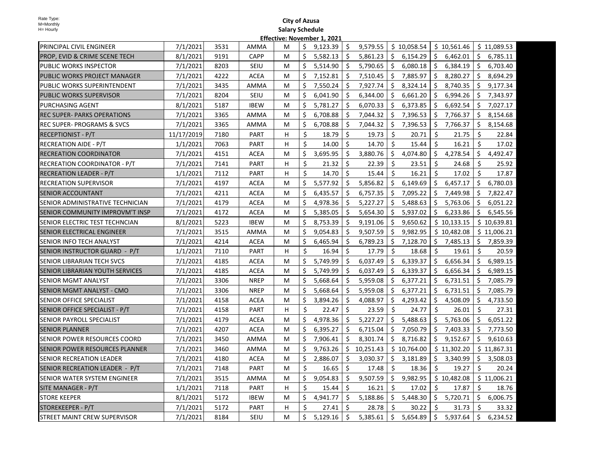| PRINCIPAL CIVIL ENGINEER              | 7/1/2021   | 3531 | AMMA        | м  | Ś. | 9,123.39 | Ŝ.  | 9,579.55  |     | \$10,058.54   |                     | \$10,561.46 |     | \$11,089.53 |
|---------------------------------------|------------|------|-------------|----|----|----------|-----|-----------|-----|---------------|---------------------|-------------|-----|-------------|
| PROP, EVID & CRIME SCENE TECH         | 8/1/2021   | 9191 | <b>CAPP</b> | M  | \$ | 5,582.13 | Ŝ.  | 5,861.23  | \$  | 6,154.29      | \$                  | 6,462.01    | S.  | 6,785.11    |
| PUBLIC WORKS INSPECTOR                | 7/1/2021   | 8203 | SEIU        | M  | \$ | 5,514.90 | \$  | 5,790.65  | \$  | $6,080.18$ \$ |                     | 6,384.19    | \$  | 6,703.40    |
| PUBLIC WORKS PROJECT MANAGER          | 7/1/2021   | 4222 | <b>ACEA</b> | M  | Ś. | 7,152.81 | \$. | 7,510.45  |     | \$7,885.97    | S.                  | 8,280.27    | \$  | 8,694.29    |
| PUBLIC WORKS SUPERINTENDENT           | 7/1/2021   | 3435 | AMMA        | M  | \$ | 7,550.24 | \$  | 7,927.74  | \$  | 8,324.14      | \$                  | 8,740.35    | \$  | 9,177.34    |
| PUBLIC WORKS SUPERVISOR               | 7/1/2021   | 8204 | <b>SEIU</b> | M  | Ś. | 6,041.90 | \$  | 6,344.00  | Ŝ.  | 6,661.20      | Ŝ.                  | 6,994.26    | Ŝ.  | 7,343.97    |
| PURCHASING AGENT                      | 8/1/2021   | 5187 | <b>IBEW</b> | M  | Ś. | 5,781.27 | Ŝ.  | 6,070.33  | Ś.  | 6,373.85      | Ŝ.                  | 6,692.54    | Ŝ.  | 7,027.17    |
| <b>REC SUPER- PARKS OPERATIONS</b>    | 7/1/2021   | 3365 | AMMA        | М  | Ś. | 6,708.88 | Ŝ.  | 7,044.32  | Ś.  | 7,396.53      | Ŝ.                  | 7,766.37    | Ŝ.  | 8,154.68    |
| <b>REC SUPER- PROGRAMS &amp; SVCS</b> | 7/1/2021   | 3365 | AMMA        | M  | Ś. | 6,708.88 | Ŝ.  | 7,044.32  | Ŝ.  | 7,396.53      | Ŝ.                  | 7,766.37    | Ŝ.  | 8,154.68    |
| <b>RECEPTIONIST - P/T</b>             | 11/17/2019 | 7180 | PART        | H  | \$ | 18.79    | \$  | 19.73     | \$  | 20.71         | \$                  | 21.75       | \$  | 22.84       |
| <b>RECREATION AIDE - P/T</b>          | 1/1/2021   | 7063 | <b>PART</b> | H. | Ś. | 14.00    | Ś.  | 14.70     | Ŝ.  | 15.44         | Ŝ.                  | 16.21       | Ś.  | 17.02       |
| <b>RECREATION COORDINATOR</b>         | 7/1/2021   | 4151 | <b>ACEA</b> | M  | Ś. | 3,695.95 | Ŝ.  | 3,880.76  | Ŝ.  | 4,074.80      | Ŝ.                  | 4,278.54    | Ŝ.  | 4,492.47    |
| RECREATION COORDINATOR - P/T          | 7/1/2021   | 7141 | PART        | H  | Ŝ. | 21.32    | \$  | 22.39     | \$  | 23.51         | \$                  | 24.68       | Ŝ.  | 25.92       |
| RECREATION LEADER - P/T               | 1/1/2021   | 7112 | PART        | H  | \$ | 14.70    | Ŝ.  | 15.44     | Ŝ.  | 16.21         | Ŝ.                  | 17.02       | Ŝ.  | 17.87       |
| RECREATION SUPERVISOR                 | 7/1/2021   | 4197 | <b>ACEA</b> | M  | \$ | 5,577.92 | \$  | 5,856.82  | \$  | 6,149.69      | \$                  | 6,457.17    | \$  | 6,780.03    |
| <b>SENIOR ACCOUNTANT</b>              | 7/1/2021   | 4211 | <b>ACEA</b> | M  | \$ | 6,435.57 | \$  | 6,757.35  | \$  | 7,095.22      | Ŝ.                  | 7,449.98    | \$  | 7,822.47    |
| SENIOR ADMINISTRATIVE TECHNICIAN      | 7/1/2021   | 4179 | <b>ACEA</b> | M  | Ś. | 4,978.36 | Ŝ.  | 5,227.27  | Ŝ.  | 5,488.63      | Ŝ.                  | 5,763.06    | Ŝ.  | 6,051.22    |
| SENIOR COMMUNITY IMPROVM'T INSP       | 7/1/2021   | 4172 | <b>ACEA</b> | M  | Ś. | 5,385.05 | Ŝ.  | 5,654.30  | \$  | 5,937.02      | Ŝ.                  | 6,233.86    | Ŝ.  | 6,545.56    |
| SENIOR ELECTRIC TEST TECHNCIAN        | 8/1/2021   | 5223 | <b>IBEW</b> | M  | Ś. | 8,753.39 | Ŝ.  | 9,191.06  | Ŝ.  | 9,650.62      |                     | \$10,133.15 |     | \$10,639.81 |
| SENIOR ELECTRICAL ENGINEER            | 7/1/2021   | 3515 | AMMA        | M  | \$ | 9,054.83 | \$  | 9,507.59  | \$  | 9,982.95      |                     | \$10,482.08 |     | \$11,006.21 |
| SENIOR INFO TECH ANALYST              | 7/1/2021   | 4214 | <b>ACEA</b> | м  | Ś. | 6,465.94 | \$  | 6,789.23  | \$  | 7,128.70      | Ŝ.                  | 7,485.13    | \$  | 7,859.39    |
| SENIOR INSTRUCTOR GUARD - P/T         | 1/1/2021   | 7110 | <b>PART</b> | H  | Ŝ. | 16.94    | Ŝ.  | 17.79     | Ŝ.  | 18.68         | Ŝ.                  | 19.61       | Ŝ.  | 20.59       |
| SENIOR LIBRARIAN TECH SVCS            | 7/1/2021   | 4185 | <b>ACEA</b> | M  | \$ | 5,749.99 | Ŝ.  | 6,037.49  | \$  | 6,339.37      | $\vert$ \$          | 6,656.34    | \$  | 6,989.15    |
| SENIOR LIBRARIAN YOUTH SERVICES       | 7/1/2021   | 4185 | <b>ACEA</b> | M  | \$ | 5,749.99 | Ŝ.  | 6,037.49  | \$  | 6,339.37      | S.                  | 6,656.34    | Ŝ.  | 6,989.15    |
| SENIOR MGMT ANALYST                   | 7/1/2021   | 3306 | <b>NREP</b> | M  | \$ | 5,668.64 | \$. | 5,959.08  | \$. | 6,377.21      | \$                  | 6,731.51    | \$. | 7,085.79    |
| SENIOR MGMT ANALYST - CMO             | 7/1/2021   | 3306 | <b>NREP</b> | M  | Ś. | 5,668.64 | \$  | 5,959.08  | \$  | 6,377.21      | Ŝ.                  | 6,731.51    | \$  | 7,085.79    |
| SENIOR OFFICE SPECIALIST              | 7/1/2021   | 4158 | <b>ACEA</b> | M  | Ś. | 3,894.26 | Ŝ.  | 4,088.97  | Ŝ.  | 4,293.42      | Ŝ.                  | 4,508.09    | Ŝ.  | 4,733.50    |
| SENIOR OFFICE SPECIALIST - P/T        | 7/1/2021   | 4158 | PART        | н  | Ś. | 22.47    | Ŝ.  | 23.59     | Ŝ.  | 24.77         | Ŝ.                  | 26.01       | Ŝ.  | 27.31       |
| SENIOR PAYROLL SPECIALIST             | 7/1/2021   | 4179 | <b>ACEA</b> | M  | Ś. | 4,978.36 | Ŝ.  | 5,227.27  | Ŝ.  | 5,488.63      | Ŝ.                  | 5,763.06    | Ŝ.  | 6,051.22    |
| <b>SENIOR PLANNER</b>                 | 7/1/2021   | 4207 | <b>ACEA</b> | м  | Ś. | 6,395.27 | \$  | 6,715.04  | \$  | 7,050.79      | -S                  | 7,403.33    | \$. | 7,773.50    |
| SENIOR POWER RESOURCES COORD          | 7/1/2021   | 3450 | AMMA        | M  | Ś. | 7,906.41 | Ŝ.  | 8,301.74  | Ŝ.  | 8,716.82      | Ŝ.                  | 9,152.67    | Ŝ.  | 9,610.63    |
| SENIOR POWER RESOURCES PLANNER        | 7/1/2021   | 3460 | <b>AMMA</b> | M  | Ś. | 9,763.26 | Ŝ.  | 10,251.43 |     | \$10,764.00   |                     | \$11,302.20 |     | \$11,867.31 |
| SENIOR RECREATION LEADER              | 7/1/2021   | 4180 | <b>ACEA</b> | М  | \$ | 2,886.07 | Ŝ.  | 3,030.37  |     | \$3,181.89    | \$                  | 3,340.99    | \$. | 3,508.03    |
| SENIOR RECREATION LEADER - P/T        | 7/1/2021   | 7148 | <b>PART</b> | M  | Ŝ. | 16.65    | Ŝ.  | 17.48     | \$  | 18.36         | S.                  | 19.27       | Ŝ.  | 20.24       |
| SENIOR WATER SYSTEM ENGINEER          | 7/1/2021   | 3515 | AMMA        | M  | \$ | 9,054.83 | \$  | 9,507.59  | \$  | 9,982.95      |                     | \$10,482.08 |     | \$11,006.21 |
| SITE MANAGER - P/T                    | 1/1/2021   | 7118 | PART        | н  | \$ | 15.44    | \$  | 16.21     | \$  | 17.02         | $\ddot{\mathsf{S}}$ | 17.87       | \$  | 18.76       |
| <b>STORE KEEPER</b>                   | 8/1/2021   | 5172 | <b>IBEW</b> | M  | Ś. | 4,941.77 | Ŝ.  | 5,188.86  | Ŝ.  | 5,448.30      | Ŝ.                  | 5,720.71    | Ś.  | 6,006.75    |
| STOREKEEPER - P/T                     | 7/1/2021   | 5172 | PART        | н  | Ŝ. | 27.41    | Ŝ.  | 28.78     | Ŝ.  | 30.22         | Ŝ.                  | 31.73       | Ŝ.  | 33.32       |
| <b>STREET MAINT CREW SUPERVISOR</b>   | 7/1/2021   | 8184 | <b>SEIU</b> | M  | \$ | 5,129.16 | Ŝ.  | 5,385.61  | Ŝ.  | 5,654.89      | \$                  | 5,937.64    | Ŝ.  | 6,234.52    |
|                                       |            |      |             |    |    |          |     |           |     |               |                     |             |     |             |